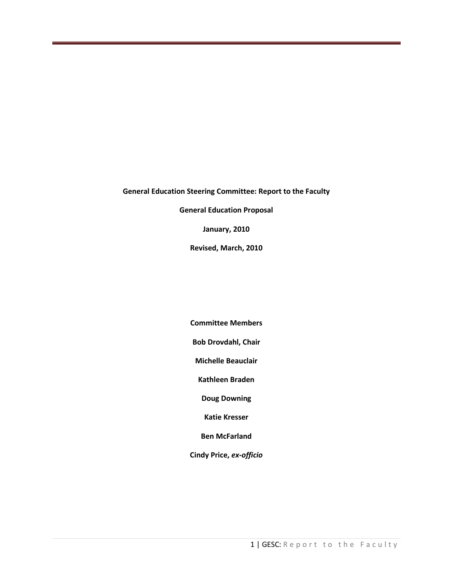#### **General Education Steering Committee: Report to the Faculty**

**General Education Proposal**

**January, 2010**

**Revised, March, 2010**

**Committee Members**

**Bob Drovdahl, Chair**

**Michelle Beauclair**

**Kathleen Braden**

**Doug Downing**

**Katie Kresser**

**Ben McFarland**

**Cindy Price,** *ex-officio*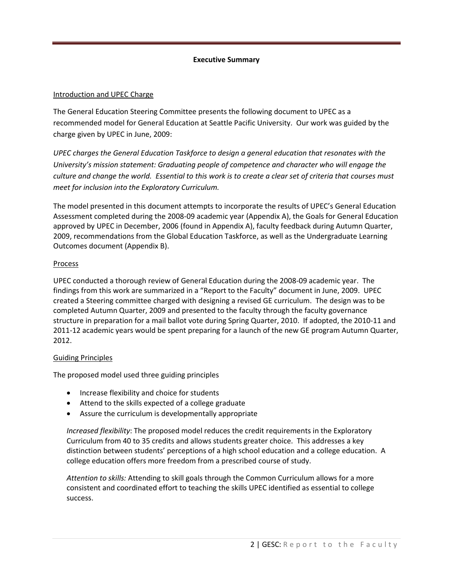## **Executive Summary**

## Introduction and UPEC Charge

The General Education Steering Committee presents the following document to UPEC as a recommended model for General Education at Seattle Pacific University. Our work was guided by the charge given by UPEC in June, 2009:

*UPEC charges the General Education Taskforce to design a general education that resonates with the University's mission statement: Graduating people of competence and character who will engage the culture and change the world. Essential to this work is to create a clear set of criteria that courses must meet for inclusion into the Exploratory Curriculum.*

The model presented in this document attempts to incorporate the results of UPEC's General Education Assessment completed during the 2008-09 academic year (Appendix A), the Goals for General Education approved by UPEC in December, 2006 (found in Appendix A), faculty feedback during Autumn Quarter, 2009, recommendations from the Global Education Taskforce, as well as the Undergraduate Learning Outcomes document (Appendix B).

## **Process**

UPEC conducted a thorough review of General Education during the 2008-09 academic year. The findings from this work are summarized in a "Report to the Faculty" document in June, 2009. UPEC created a Steering committee charged with designing a revised GE curriculum. The design was to be completed Autumn Quarter, 2009 and presented to the faculty through the faculty governance structure in preparation for a mail ballot vote during Spring Quarter, 2010. If adopted, the 2010-11 and 2011-12 academic years would be spent preparing for a launch of the new GE program Autumn Quarter, 2012.

### Guiding Principles

The proposed model used three guiding principles

- Increase flexibility and choice for students
- Attend to the skills expected of a college graduate
- Assure the curriculum is developmentally appropriate

*Increased flexibility*: The proposed model reduces the credit requirements in the Exploratory Curriculum from 40 to 35 credits and allows students greater choice. This addresses a key distinction between students' perceptions of a high school education and a college education. A college education offers more freedom from a prescribed course of study.

*Attention to skills:* Attending to skill goals through the Common Curriculum allows for a more consistent and coordinated effort to teaching the skills UPEC identified as essential to college success.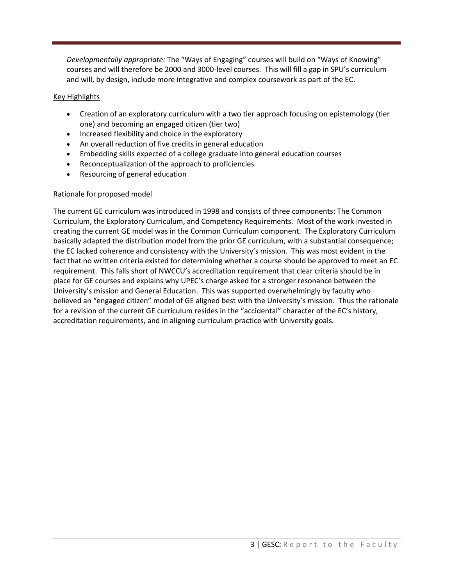*Developmentally appropriate:* The "Ways of Engaging" courses will build on "Ways of Knowing" courses and will therefore be 2000 and 3000-level courses. This will fill a gap in SPU's curriculum and will, by design, include more integrative and complex coursework as part of the EC.

## Key Highlights

- Creation of an exploratory curriculum with a two tier approach focusing on epistemology (tier one) and becoming an engaged citizen (tier two)
- Increased flexibility and choice in the exploratory
- An overall reduction of five credits in general education
- Embedding skills expected of a college graduate into general education courses
- Reconceptualization of the approach to proficiencies
- Resourcing of general education

## Rationale for proposed model

The current GE curriculum was introduced in 1998 and consists of three components: The Common Curriculum, the Exploratory Curriculum, and Competency Requirements. Most of the work invested in creating the current GE model was in the Common Curriculum component. The Exploratory Curriculum basically adapted the distribution model from the prior GE curriculum, with a substantial consequence; the EC lacked coherence and consistency with the University's mission. This was most evident in the fact that no written criteria existed for determining whether a course should be approved to meet an EC requirement. This falls short of NWCCU's accreditation requirement that clear criteria should be in place for GE courses and explains why UPEC's charge asked for a stronger resonance between the University's mission and General Education. This was supported overwhelmingly by faculty who believed an "engaged citizen" model of GE aligned best with the University's mission. Thus the rationale for a revision of the current GE curriculum resides in the "accidental" character of the EC's history, accreditation requirements, and in aligning curriculum practice with University goals.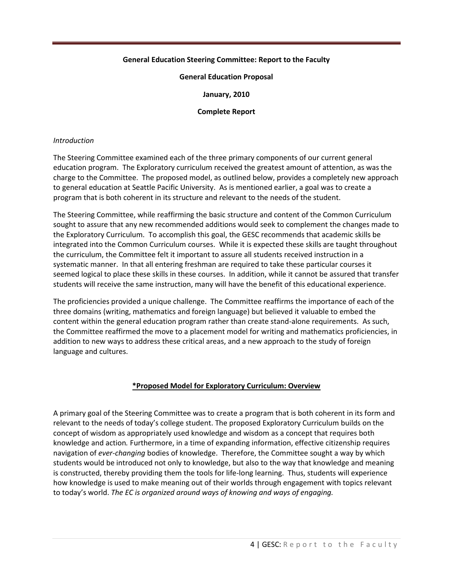## **General Education Steering Committee: Report to the Faculty**

#### **General Education Proposal**

**January, 2010**

#### **Complete Report**

#### *Introduction*

The Steering Committee examined each of the three primary components of our current general education program. The Exploratory curriculum received the greatest amount of attention, as was the charge to the Committee. The proposed model, as outlined below, provides a completely new approach to general education at Seattle Pacific University. As is mentioned earlier, a goal was to create a program that is both coherent in its structure and relevant to the needs of the student.

The Steering Committee, while reaffirming the basic structure and content of the Common Curriculum sought to assure that any new recommended additions would seek to complement the changes made to the Exploratory Curriculum. To accomplish this goal, the GESC recommends that academic skills be integrated into the Common Curriculum courses. While it is expected these skills are taught throughout the curriculum, the Committee felt it important to assure all students received instruction in a systematic manner. In that all entering freshman are required to take these particular courses it seemed logical to place these skills in these courses. In addition, while it cannot be assured that transfer students will receive the same instruction, many will have the benefit of this educational experience.

The proficiencies provided a unique challenge. The Committee reaffirms the importance of each of the three domains (writing, mathematics and foreign language) but believed it valuable to embed the content within the general education program rather than create stand-alone requirements. As such, the Committee reaffirmed the move to a placement model for writing and mathematics proficiencies, in addition to new ways to address these critical areas, and a new approach to the study of foreign language and cultures.

### **\*Proposed Model for Exploratory Curriculum: Overview**

A primary goal of the Steering Committee was to create a program that is both coherent in its form and relevant to the needs of today's college student. The proposed Exploratory Curriculum builds on the concept of wisdom as appropriately used knowledge and wisdom as a concept that requires both knowledge and action*.* Furthermore, in a time of expanding information, effective citizenship requires navigation of *ever-changing* bodies of knowledge. Therefore, the Committee sought a way by which students would be introduced not only to knowledge, but also to the way that knowledge and meaning is constructed, thereby providing them the tools for life-long learning. Thus, students will experience how knowledge is used to make meaning out of their worlds through engagement with topics relevant to today's world. *The EC is organized around ways of knowing and ways of engaging.*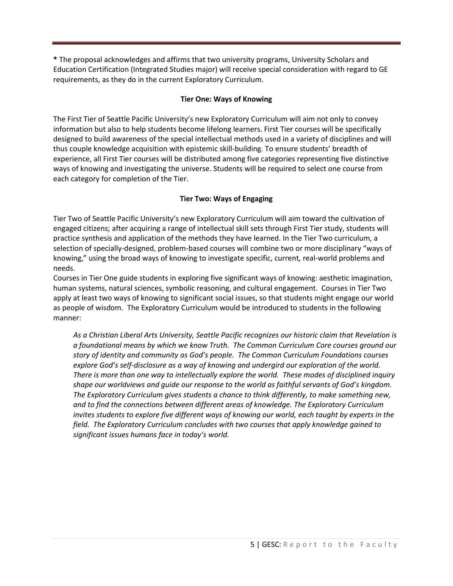**\*** The proposal acknowledges and affirms that two university programs, University Scholars and Education Certification (Integrated Studies major) will receive special consideration with regard to GE requirements, as they do in the current Exploratory Curriculum.

## **Tier One: Ways of Knowing**

The First Tier of Seattle Pacific University's new Exploratory Curriculum will aim not only to convey information but also to help students become lifelong learners. First Tier courses will be specifically designed to build awareness of the special intellectual methods used in a variety of disciplines and will thus couple knowledge acquisition with epistemic skill-building. To ensure students' breadth of experience, all First Tier courses will be distributed among five categories representing five distinctive ways of knowing and investigating the universe. Students will be required to select one course from each category for completion of the Tier.

# **Tier Two: Ways of Engaging**

Tier Two of Seattle Pacific University's new Exploratory Curriculum will aim toward the cultivation of engaged citizens; after acquiring a range of intellectual skill sets through First Tier study, students will practice synthesis and application of the methods they have learned. In the Tier Two curriculum, a selection of specially-designed, problem-based courses will combine two or more disciplinary "ways of knowing," using the broad ways of knowing to investigate specific, current*,* real-world problems and needs.

Courses in Tier One guide students in exploring five significant ways of knowing: aesthetic imagination, human systems, natural sciences, symbolic reasoning, and cultural engagement. Courses in Tier Two apply at least two ways of knowing to significant social issues, so that students might engage our world as people of wisdom. The Exploratory Curriculum would be introduced to students in the following manner:

*As a Christian Liberal Arts University, Seattle Pacific recognizes our historic claim that Revelation is a foundational means by which we know Truth. The Common Curriculum Core courses ground our story of identity and community as God's people. The Common Curriculum Foundations courses explore God's self-disclosure as a way of knowing and undergird our exploration of the world. There is more than one way to intellectually explore the world. These modes of disciplined inquiry shape our worldviews and guide our response to the world as faithful servants of God's kingdom. The Exploratory Curriculum gives students a chance to think differently, to make something new, and to find the connections between different areas of knowledge. The Exploratory Curriculum invites students to explore five different ways of knowing our world, each taught by experts in the field. The Exploratory Curriculum concludes with two courses that apply knowledge gained to significant issues humans face in today's world.*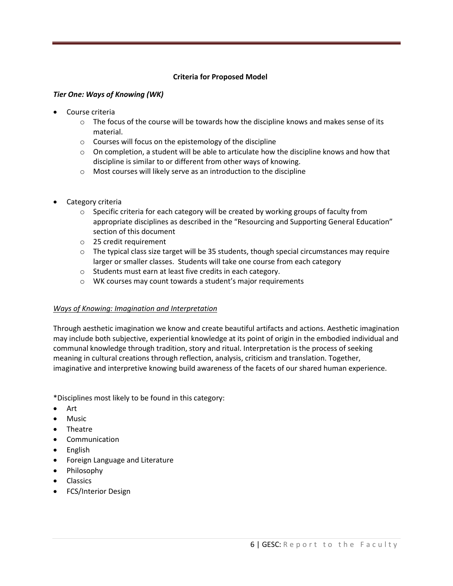## **Criteria for Proposed Model**

### *Tier One: Ways of Knowing (WK)*

- Course criteria
	- $\circ$  The focus of the course will be towards how the discipline knows and makes sense of its material.
	- o Courses will focus on the epistemology of the discipline
	- $\circ$  On completion, a student will be able to articulate how the discipline knows and how that discipline is similar to or different from other ways of knowing.
	- o Most courses will likely serve as an introduction to the discipline
- Category criteria
	- $\circ$  Specific criteria for each category will be created by working groups of faculty from appropriate disciplines as described in the "Resourcing and Supporting General Education" section of this document
	- o 25 credit requirement
	- $\circ$  The typical class size target will be 35 students, though special circumstances may require larger or smaller classes. Students will take one course from each category
	- o Students must earn at least five credits in each category.
	- o WK courses may count towards a student's major requirements

### *Ways of Knowing: Imagination and Interpretation*

Through aesthetic imagination we know and create beautiful artifacts and actions. Aesthetic imagination may include both subjective, experiential knowledge at its point of origin in the embodied individual and communal knowledge through tradition, story and ritual. Interpretation is the process of seeking meaning in cultural creations through reflection, analysis, criticism and translation. Together, imaginative and interpretive knowing build awareness of the facets of our shared human experience.

\*Disciplines most likely to be found in this category:

- Art
- Music
- Theatre
- Communication
- English
- Foreign Language and Literature
- Philosophy
- **•** Classics
- FCS/Interior Design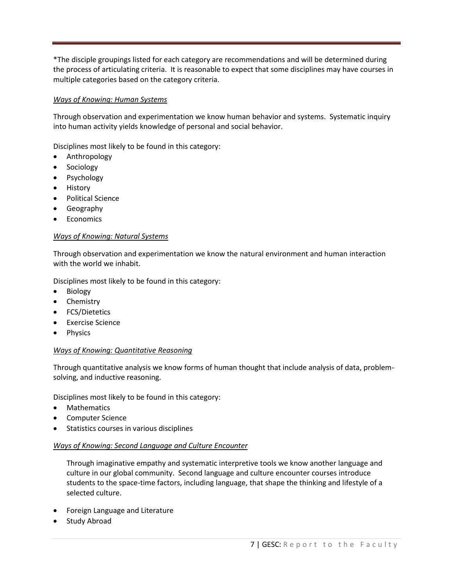\*The disciple groupings listed for each category are recommendations and will be determined during the process of articulating criteria. It is reasonable to expect that some disciplines may have courses in multiple categories based on the category criteria.

# *Ways of Knowing: Human Systems*

Through observation and experimentation we know human behavior and systems. Systematic inquiry into human activity yields knowledge of personal and social behavior.

Disciplines most likely to be found in this category:

- Anthropology
- Sociology
- Psychology
- **•** History
- Political Science
- Geography
- Economics

## *Ways of Knowing: Natural Systems*

Through observation and experimentation we know the natural environment and human interaction with the world we inhabit.

Disciplines most likely to be found in this category:

- Biology
- Chemistry
- FCS/Dietetics
- Exercise Science
- Physics

# *Ways of Knowing: Quantitative Reasoning*

Through quantitative analysis we know forms of human thought that include analysis of data, problemsolving, and inductive reasoning.

Disciplines most likely to be found in this category:

- Mathematics
- Computer Science
- **•** Statistics courses in various disciplines

# *Ways of Knowing: Second Language and Culture Encounter*

Through imaginative empathy and systematic interpretive tools we know another language and culture in our global community. Second language and culture encounter courses introduce students to the space-time factors, including language, that shape the thinking and lifestyle of a selected culture.

- Foreign Language and Literature
- Study Abroad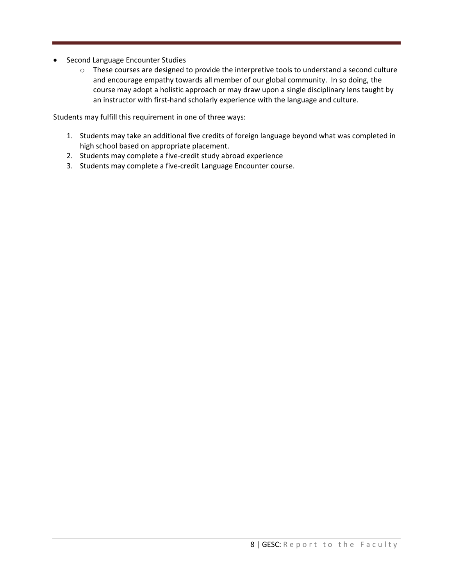- Second Language Encounter Studies
	- o These courses are designed to provide the interpretive tools to understand a second culture and encourage empathy towards all member of our global community. In so doing, the course may adopt a holistic approach or may draw upon a single disciplinary lens taught by an instructor with first-hand scholarly experience with the language and culture.

Students may fulfill this requirement in one of three ways:

- 1. Students may take an additional five credits of foreign language beyond what was completed in high school based on appropriate placement.
- 2. Students may complete a five-credit study abroad experience
- 3. Students may complete a five-credit Language Encounter course.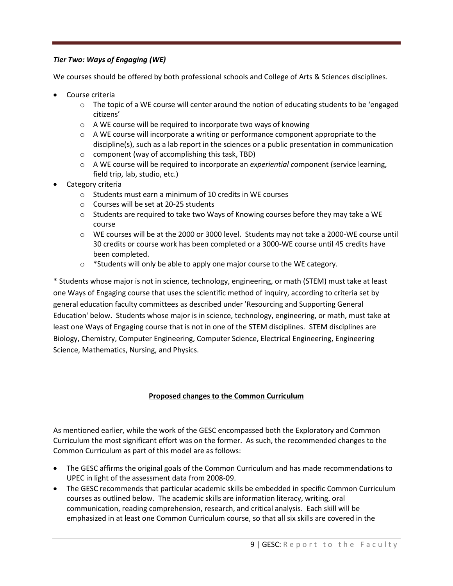# *Tier Two: Ways of Engaging (WE)*

We courses should be offered by both professional schools and College of Arts & Sciences disciplines.

- Course criteria
	- $\circ$  The topic of a WE course will center around the notion of educating students to be 'engaged citizens'
	- o A WE course will be required to incorporate two ways of knowing
	- o A WE course will incorporate a writing or performance component appropriate to the discipline(s), such as a lab report in the sciences or a public presentation in communication
	- o component (way of accomplishing this task, TBD)
	- o A WE course will be required to incorporate an *experiential c*omponent (service learning, field trip, lab, studio, etc.)
- Category criteria
	- o Students must earn a minimum of 10 credits in WE courses
	- o Courses will be set at 20-25 students
	- $\circ$  Students are required to take two Ways of Knowing courses before they may take a WE course
	- o WE courses will be at the 2000 or 3000 level. Students may not take a 2000-WE course until 30 credits or course work has been completed or a 3000-WE course until 45 credits have been completed.
	- o \*Students will only be able to apply one major course to the WE category.

\* Students whose major is not in science, technology, engineering, or math (STEM) must take at least one Ways of Engaging course that uses the scientific method of inquiry, according to criteria set by general education faculty committees as described under 'Resourcing and Supporting General Education' below. Students whose major is in science, technology, engineering, or math, must take at least one Ways of Engaging course that is not in one of the STEM disciplines. STEM disciplines are Biology, Chemistry, Computer Engineering, Computer Science, Electrical Engineering, Engineering Science, Mathematics, Nursing, and Physics.

# **Proposed changes to the Common Curriculum**

As mentioned earlier, while the work of the GESC encompassed both the Exploratory and Common Curriculum the most significant effort was on the former. As such, the recommended changes to the Common Curriculum as part of this model are as follows:

- The GESC affirms the original goals of the Common Curriculum and has made recommendations to UPEC in light of the assessment data from 2008-09.
- The GESC recommends that particular academic skills be embedded in specific Common Curriculum courses as outlined below. The academic skills are information literacy, writing, oral communication, reading comprehension, research, and critical analysis. Each skill will be emphasized in at least one Common Curriculum course, so that all six skills are covered in the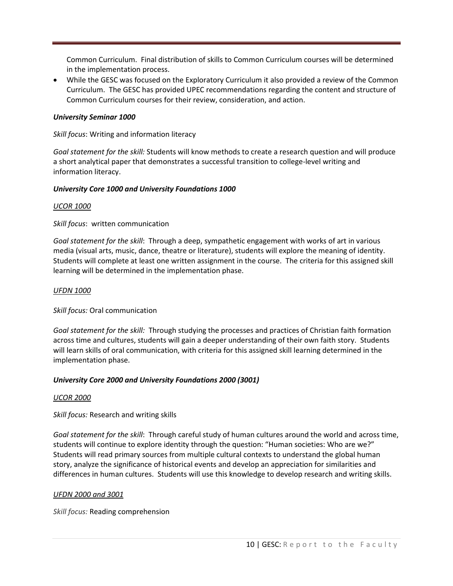Common Curriculum. Final distribution of skills to Common Curriculum courses will be determined in the implementation process.

 While the GESC was focused on the Exploratory Curriculum it also provided a review of the Common Curriculum. The GESC has provided UPEC recommendations regarding the content and structure of Common Curriculum courses for their review, consideration, and action.

## *University Seminar 1000*

*Skill focus*: Writing and information literacy

*Goal statement for the skill:* Students will know methods to create a research question and will produce a short analytical paper that demonstrates a successful transition to college-level writing and information literacy.

### *University Core 1000 and University Foundations 1000*

### *UCOR 1000*

*Skill focus*: written communication

*Goal statement for the skill*: Through a deep, sympathetic engagement with works of art in various media (visual arts, music, dance, theatre or literature), students will explore the meaning of identity. Students will complete at least one written assignment in the course. The criteria for this assigned skill learning will be determined in the implementation phase.

### *UFDN 1000*

*Skill focus:* Oral communication

*Goal statement for the skill:* Through studying the processes and practices of Christian faith formation across time and cultures, students will gain a deeper understanding of their own faith story. Students will learn skills of oral communication, with criteria for this assigned skill learning determined in the implementation phase.

### *University Core 2000 and University Foundations 2000 (3001)*

### *UCOR 2000*

*Skill focus:* Research and writing skills

*Goal statement for the skill*: Through careful study of human cultures around the world and across time, students will continue to explore identity through the question: "Human societies: Who are we?" Students will read primary sources from multiple cultural contexts to understand the global human story, analyze the significance of historical events and develop an appreciation for similarities and differences in human cultures. Students will use this knowledge to develop research and writing skills.

### *UFDN 2000 and 3001*

*Skill focus:* Reading comprehension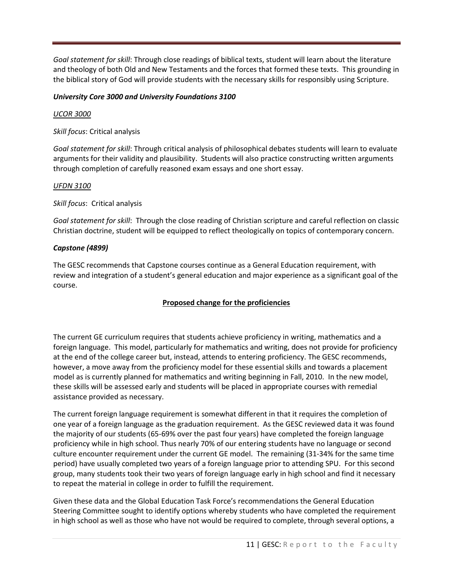*Goal statement for skill*: Through close readings of biblical texts, student will learn about the literature and theology of both Old and New Testaments and the forces that formed these texts. This grounding in the biblical story of God will provide students with the necessary skills for responsibly using Scripture.

# *University Core 3000 and University Foundations 3100*

# *UCOR 3000*

*Skill focus*: Critical analysis

*Goal statement for skill*: Through critical analysis of philosophical debates students will learn to evaluate arguments for their validity and plausibility. Students will also practice constructing written arguments through completion of carefully reasoned exam essays and one short essay.

# *UFDN 3100*

*Skill focus*: Critical analysis

*Goal statement for skill*: Through the close reading of Christian scripture and careful reflection on classic Christian doctrine, student will be equipped to reflect theologically on topics of contemporary concern.

# *Capstone (4899)*

The GESC recommends that Capstone courses continue as a General Education requirement, with review and integration of a student's general education and major experience as a significant goal of the course.

# **Proposed change for the proficiencies**

The current GE curriculum requires that students achieve proficiency in writing, mathematics and a foreign language. This model, particularly for mathematics and writing, does not provide for proficiency at the end of the college career but, instead, attends to entering proficiency. The GESC recommends, however, a move away from the proficiency model for these essential skills and towards a placement model as is currently planned for mathematics and writing beginning in Fall, 2010. In the new model, these skills will be assessed early and students will be placed in appropriate courses with remedial assistance provided as necessary.

The current foreign language requirement is somewhat different in that it requires the completion of one year of a foreign language as the graduation requirement. As the GESC reviewed data it was found the majority of our students (65-69% over the past four years) have completed the foreign language proficiency while in high school. Thus nearly 70% of our entering students have no language or second culture encounter requirement under the current GE model. The remaining (31-34% for the same time period) have usually completed two years of a foreign language prior to attending SPU. For this second group, many students took their two years of foreign language early in high school and find it necessary to repeat the material in college in order to fulfill the requirement.

Given these data and the Global Education Task Force's recommendations the General Education Steering Committee sought to identify options whereby students who have completed the requirement in high school as well as those who have not would be required to complete, through several options, a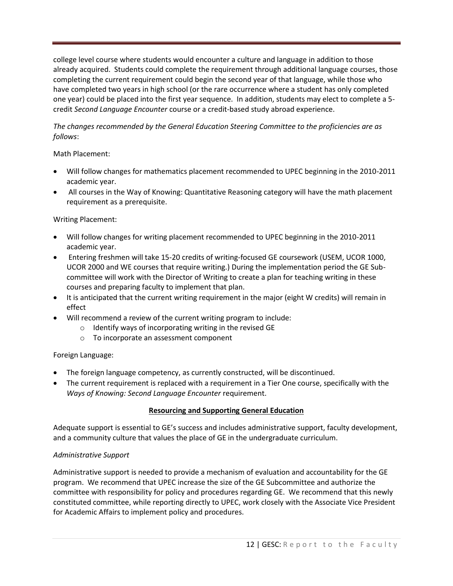college level course where students would encounter a culture and language in addition to those already acquired. Students could complete the requirement through additional language courses, those completing the current requirement could begin the second year of that language, while those who have completed two years in high school (or the rare occurrence where a student has only completed one year) could be placed into the first year sequence. In addition, students may elect to complete a 5 credit *Second Language Encounter* course or a credit-based study abroad experience.

## *The changes recommended by the General Education Steering Committee to the proficiencies are as follows*:

## Math Placement:

- Will follow changes for mathematics placement recommended to UPEC beginning in the 2010-2011 academic year.
- All courses in the Way of Knowing: Quantitative Reasoning category will have the math placement requirement as a prerequisite.

# Writing Placement:

- Will follow changes for writing placement recommended to UPEC beginning in the 2010-2011 academic year.
- Entering freshmen will take 15-20 credits of writing-focused GE coursework (USEM, UCOR 1000, UCOR 2000 and WE courses that require writing.) During the implementation period the GE Subcommittee will work with the Director of Writing to create a plan for teaching writing in these courses and preparing faculty to implement that plan.
- It is anticipated that the current writing requirement in the major (eight W credits) will remain in effect
- Will recommend a review of the current writing program to include:
	- o Identify ways of incorporating writing in the revised GE
		- o To incorporate an assessment component

# Foreign Language:

- The foreign language competency, as currently constructed, will be discontinued.
- The current requirement is replaced with a requirement in a Tier One course, specifically with the *Ways of Knowing: Second Language Encounter* requirement.

### **Resourcing and Supporting General Education**

Adequate support is essential to GE's success and includes administrative support, faculty development, and a community culture that values the place of GE in the undergraduate curriculum.

# *Administrative Support*

Administrative support is needed to provide a mechanism of evaluation and accountability for the GE program. We recommend that UPEC increase the size of the GE Subcommittee and authorize the committee with responsibility for policy and procedures regarding GE. We recommend that this newly constituted committee, while reporting directly to UPEC, work closely with the Associate Vice President for Academic Affairs to implement policy and procedures.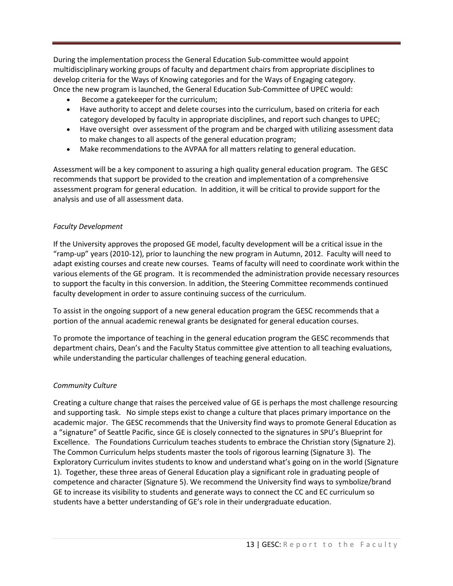During the implementation process the General Education Sub-committee would appoint multidisciplinary working groups of faculty and department chairs from appropriate disciplines to develop criteria for the Ways of Knowing categories and for the Ways of Engaging category. Once the new program is launched, the General Education Sub-Committee of UPEC would:

- Become a gatekeeper for the curriculum;
- Have authority to accept and delete courses into the curriculum, based on criteria for each category developed by faculty in appropriate disciplines, and report such changes to UPEC;
- Have oversight over assessment of the program and be charged with utilizing assessment data to make changes to all aspects of the general education program;
- Make recommendations to the AVPAA for all matters relating to general education.

Assessment will be a key component to assuring a high quality general education program. The GESC recommends that support be provided to the creation and implementation of a comprehensive assessment program for general education. In addition, it will be critical to provide support for the analysis and use of all assessment data.

### *Faculty Development*

If the University approves the proposed GE model, faculty development will be a critical issue in the "ramp-up" years (2010-12), prior to launching the new program in Autumn, 2012. Faculty will need to adapt existing courses and create new courses. Teams of faculty will need to coordinate work within the various elements of the GE program. It is recommended the administration provide necessary resources to support the faculty in this conversion. In addition, the Steering Committee recommends continued faculty development in order to assure continuing success of the curriculum.

To assist in the ongoing support of a new general education program the GESC recommends that a portion of the annual academic renewal grants be designated for general education courses.

To promote the importance of teaching in the general education program the GESC recommends that department chairs, Dean's and the Faculty Status committee give attention to all teaching evaluations, while understanding the particular challenges of teaching general education.

### *Community Culture*

Creating a culture change that raises the perceived value of GE is perhaps the most challenge resourcing and supporting task. No simple steps exist to change a culture that places primary importance on the academic major. The GESC recommends that the University find ways to promote General Education as a "signature" of Seattle Pacific, since GE is closely connected to the signatures in SPU's Blueprint for Excellence. The Foundations Curriculum teaches students to embrace the Christian story (Signature 2). The Common Curriculum helps students master the tools of rigorous learning (Signature 3). The Exploratory Curriculum invites students to know and understand what's going on in the world (Signature 1). Together, these three areas of General Education play a significant role in graduating people of competence and character (Signature 5). We recommend the University find ways to symbolize/brand GE to increase its visibility to students and generate ways to connect the CC and EC curriculum so students have a better understanding of GE's role in their undergraduate education.